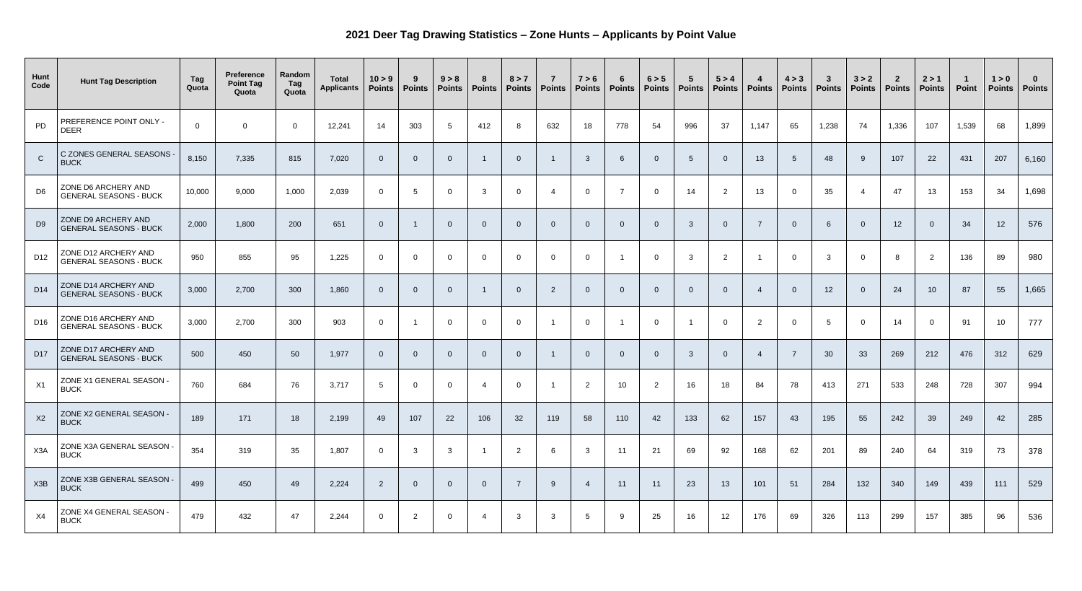## **2021 Deer Tag Drawing Statistics – Zone Hunts – Applicants by Point Value**

| Hunt<br>Code    | <b>Hunt Tag Description</b>                           | Tag<br>Quota   | <b>Preference</b><br><b>Point Tag</b><br>Quota | Random<br>Tag<br>Quota | <b>Total</b><br><b>Applicants</b> | 10 > 9<br><b>Points</b> | 9<br><b>Points</b> | 9 > 8<br><b>Points</b> | 8<br><b>Points</b> | 8 > 7<br><b>Points</b> | $\overline{7}$<br><b>Points</b> | 7 > 6<br><b>Points</b> | 6<br><b>Points</b> | 6 > 5<br><b>Points</b> | $5\overline{5}$<br><b>Points</b> | 5 > 4<br><b>Points</b> | - 4<br><b>Points</b> | 4 > 3<br><b>Points</b> | $\mathbf{3}$<br><b>Points</b> | 3 > 2<br><b>Points</b> | $\overline{2}$<br><b>Points</b> | 2 > 1<br><b>Points</b> | <b>Point</b> | 1 > 0<br><b>Points</b> | $\bf{0}$<br><b>Points</b> |
|-----------------|-------------------------------------------------------|----------------|------------------------------------------------|------------------------|-----------------------------------|-------------------------|--------------------|------------------------|--------------------|------------------------|---------------------------------|------------------------|--------------------|------------------------|----------------------------------|------------------------|----------------------|------------------------|-------------------------------|------------------------|---------------------------------|------------------------|--------------|------------------------|---------------------------|
| PD              | PREFERENCE POINT ONLY -<br><b>DEER</b>                | $\overline{0}$ | $\overline{0}$                                 | $\Omega$               | 12,241                            | 14                      | 303                |                        | 412                | 8                      | 632                             | 18                     | 778                | 54                     | 996                              | 37                     | 1,147                | 65                     | 1,238                         | 74                     | 1,336                           | 107                    | 1,539        | 68                     | 1,899                     |
| $\mathsf{C}$    | C ZONES GENERAL SEASONS -<br><b>BUCK</b>              | 8,150          | 7,335                                          | 815                    | 7,020                             | $\Omega$                | $\overline{0}$     |                        |                    | $\Omega$               |                                 | $\mathbf{3}$           | 6                  |                        | 5                                | $\overline{0}$         | 13                   | $5\phantom{1}$         | 48                            | 9                      | 107                             | 22                     | 431          | 207                    | 6,160                     |
| D <sub>6</sub>  | ZONE D6 ARCHERY AND<br><b>GENERAL SEASONS - BUCK</b>  | 10,000         | 9,000                                          | 1,000                  | 2,039                             | $\overline{0}$          | $5\overline{)}$    |                        | $\mathbf{3}$       | $\Omega$               |                                 | $\overline{0}$         | $\overline{7}$     | $\Omega$               | 14                               | $\overline{2}$         | 13                   | $\Omega$               | 35                            | $\overline{4}$         | 47                              | 13                     | 153          | 34                     | 1,698                     |
| D <sub>9</sub>  | ZONE D9 ARCHERY AND<br><b>GENERAL SEASONS - BUCK</b>  | 2,000          | 1,800                                          | 200                    | 651                               | $\Omega$                |                    |                        | $\Omega$           | $\Omega$               | $\overline{0}$                  | $\Omega$               | $\overline{0}$     |                        | $\overline{3}$                   | $\overline{0}$         | $\overline{7}$       | $\overline{0}$         | 6                             | $\overline{0}$         | 12                              | $\overline{0}$         | 34           | 12                     | 576                       |
| D <sub>12</sub> | ZONE D12 ARCHERY AND<br><b>GENERAL SEASONS - BUCK</b> | 950            | 855                                            | 95                     | 1,225                             | $\overline{0}$          | $\overline{0}$     |                        | $\Omega$           | $\Omega$               | $\overline{0}$                  | $\overline{0}$         |                    |                        | $\mathbf{3}$                     | $\overline{2}$         |                      | $\overline{0}$         | $\mathbf{3}$                  | $\Omega$               | 8                               | $\overline{2}$         | 136          | 89                     | 980                       |
| D <sub>14</sub> | ZONE D14 ARCHERY AND<br><b>GENERAL SEASONS - BUCK</b> | 3,000          | 2,700                                          | 300                    | 1,860                             | $\Omega$                | $\overline{0}$     |                        |                    | $\Omega$               | $\overline{2}$                  | $\Omega$               | $\overline{0}$     |                        | $\overline{0}$                   | $\Omega$               | $\overline{4}$       | $\Omega$               | 12                            | $\Omega$               | 24                              | 10                     | 87           | 55                     | 1,665                     |
| D <sub>16</sub> | ZONE D16 ARCHERY AND<br><b>GENERAL SEASONS - BUCK</b> | 3,000          | 2,700                                          | 300                    | 903                               | $\overline{0}$          |                    |                        | $\Omega$           | $\overline{0}$         |                                 | $\overline{0}$         |                    |                        |                                  | $\overline{0}$         | $\overline{2}$       | $\overline{0}$         | 5                             | $\Omega$               | 14                              | $\overline{0}$         | 91           | 10                     | 777                       |
| D <sub>17</sub> | ZONE D17 ARCHERY AND<br><b>GENERAL SEASONS - BUCK</b> | 500            | 450                                            | 50                     | 1,977                             | $\Omega$                | 0                  |                        |                    | 0                      |                                 | $\Omega$               | $\overline{0}$     |                        | -3                               |                        |                      |                        | 30                            | 33                     | 269                             | 212                    | 476          | 312                    | 629                       |
| X1              | ZONE X1 GENERAL SEASON -<br><b>BUCK</b>               | 760            | 684                                            | 76                     | 3,717                             | 5                       | $\overline{0}$     |                        | 4                  | $\overline{0}$         |                                 | $\overline{2}$         | 10 <sup>°</sup>    | 2                      | 16                               | 18                     | 84                   | 78                     | 413                           | 271                    | 533                             | 248                    | 728          | 307                    | 994                       |
| X2              | ZONE X2 GENERAL SEASON -<br><b>BUCK</b>               | 189            | 171                                            | 18                     | 2,199                             | 49                      | 107                | 22                     | 106                | 32                     | 119                             | 58                     | 110                | 42                     | 133                              | 62                     | 157                  | 43                     | 195                           | 55                     | 242                             | 39                     | 249          | 42                     | 285                       |
| X3A             | ZONE X3A GENERAL SEASON -<br><b>BUCK</b>              | 354            | 319                                            | 35                     | 1,807                             | $\overline{0}$          | $\mathbf{3}$       | $\mathbf{3}$           |                    | $\overline{2}$         | 6                               | $\mathbf{3}$           | 11                 | 21                     | 69                               | 92                     | 168                  | 62                     | 201                           | 89                     | 240                             | 64                     | 319          | 73                     | 378                       |
| X3B             | ZONE X3B GENERAL SEASON -<br><b>BUCK</b>              | 499            | 450                                            | 49                     | 2,224                             | $\overline{2}$          | $\overline{0}$     |                        | $\Omega$           |                        | -9                              |                        | 11                 | 11                     | 23                               | 13                     | 101                  | 51                     | 284                           | 132                    | 340                             | 149                    | 439          | 111                    | 529                       |
| X4              | ZONE X4 GENERAL SEASON -<br><b>BUCK</b>               | 479            | 432                                            | 47                     | 2,244                             | $\overline{0}$          | $\overline{2}$     |                        |                    | $\mathbf{3}$           | $\mathbf{3}$                    | $5\overline{)}$        | - 9                | 25                     | 16                               | 12                     | 176                  | 69                     | 326                           | 113                    | 299                             | 157                    | 385          | 96                     | 536                       |